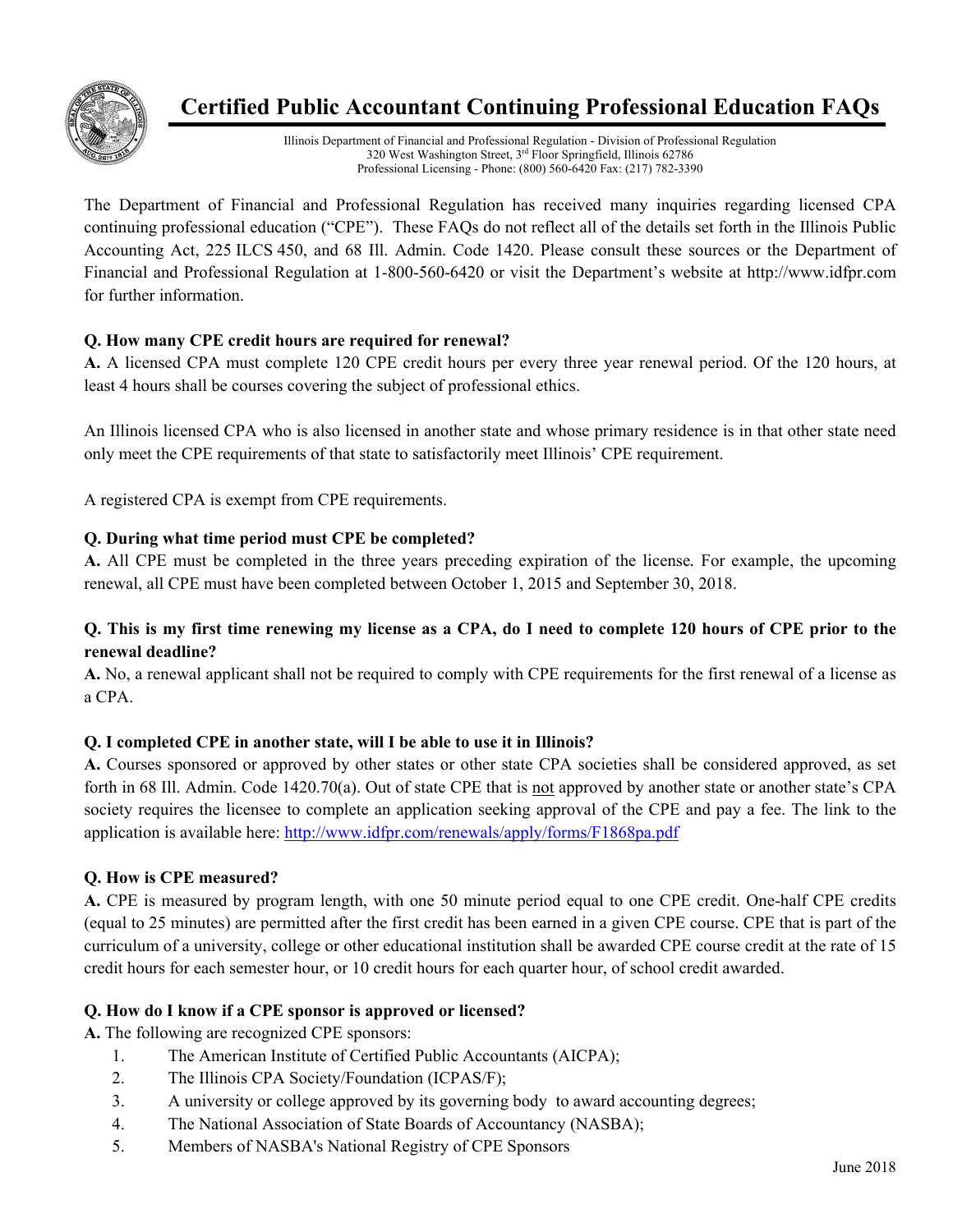

# **Certified Public Accountant Continuing Professional Education FAQs**

Illinois Department of Financial and Professional Regulation - Division of Professional Regulation 320 West Washington Street, 3<sup>rd</sup> Floor Springfield, Illinois 62786 Professional Licensing - Phone: (800) 560-6420 Fax: (217) 782-3390

The Department of Financial and Professional Regulation has received many inquiries regarding licensed CPA continuing professional education ("CPE"). These FAQs do not reflect all of the details set forth in the Illinois Public Accounting Act, 225 ILCS 450, and 68 Ill. Admin. Code 1420. Please consult these sources or the Department of Financial and Professional Regulation at 1-800-560-6420 or visit the Department's website at http://www.idfpr.com for further information.

# **Q. How many CPE credit hours are required for renewal?**

**A.** A licensed CPA must complete 120 CPE credit hours per every three year renewal period. Of the 120 hours, at least 4 hours shall be courses covering the subject of professional ethics.

An Illinois licensed CPA who is also licensed in another state and whose primary residence is in that other state need only meet the CPE requirements of that state to satisfactorily meet Illinois' CPE requirement.

A registered CPA is exempt from CPE requirements.

# **Q. During what time period must CPE be completed?**

**A.** All CPE must be completed in the three years preceding expiration of the license*.* For example, the upcoming renewal, all CPE must have been completed between October 1, 2015 and September 30, 2018.

# **Q. This is my first time renewing my license as a CPA, do I need to complete 120 hours of CPE prior to the renewal deadline?**

**A.** No, a renewal applicant shall not be required to comply with CPE requirements for the first renewal of a license as a CPA.

### **Q. I completed CPE in another state, will I be able to use it in Illinois?**

**A.** Courses sponsored or approved by other states or other state CPA societies shall be considered approved, as set forth in 68 Ill. Admin. Code 1420.70(a). Out of state CPE that is not approved by another state or another state's CPA society requires the licensee to complete an application seeking approval of the CPE and pay a fee. The link to the application is available here: http://www.idfpr.com/renewals/apply/forms/F1868pa.pdf

# **Q. How is CPE measured?**

**A.** CPE is measured by program length, with one 50 minute period equal to one CPE credit. One-half CPE credits (equal to 25 minutes) are permitted after the first credit has been earned in a given CPE course. CPE that is part of the curriculum of a university, college or other educational institution shall be awarded CPE course credit at the rate of 15 credit hours for each semester hour, or 10 credit hours for each quarter hour, of school credit awarded.

### **Q. How do I know if a CPE sponsor is approved or licensed?**

**A.** The following are recognized CPE sponsors:

- 1. The American Institute of Certified Public Accountants (AICPA);
- 2. The Illinois CPA Society/Foundation (ICPAS/F);
- 3. A university or college approved by its governing body to award accounting degrees;
- 4. The National Association of State Boards of Accountancy (NASBA);
- 5. Members of NASBA's National Registry of CPE Sponsors